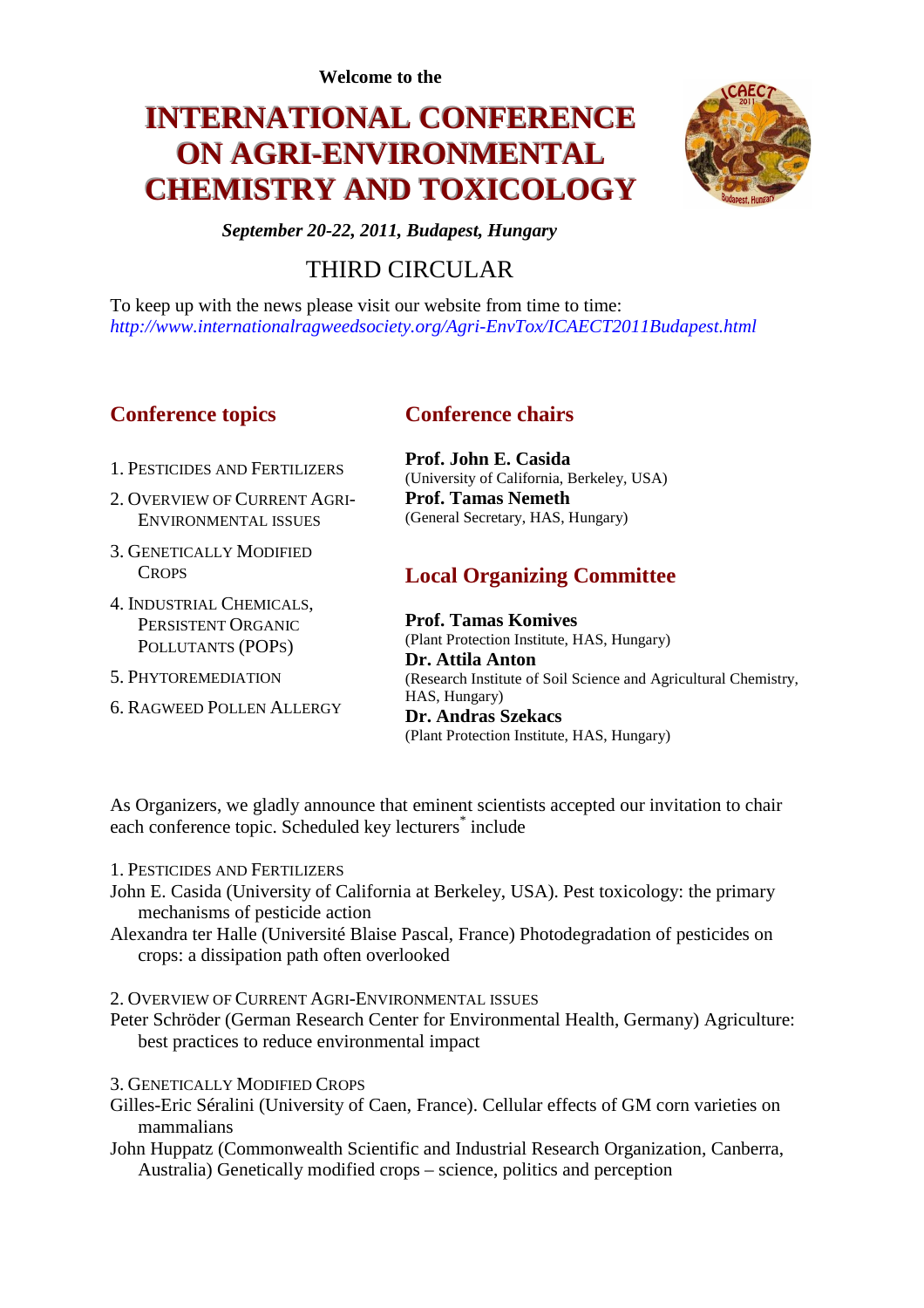**Welcome to the** 

# **INTERNATIONAL CONFERENCE ON AGRI-ENVIRONMENTAL CHEMISTRY AND TOXICOLOGY**



*September 20-22, 2011, Budapest, Hungary* 

## THIRD CIRCULAR

To keep up with the news please visit our website from time to time: *http://www.internationalragweedsociety.org/Agri-EnvTox/ICAECT2011Budapest.html*

## **Conference topics**

## **Conference chairs**

1. PESTICIDES AND FERTILIZERS

- 2. OVERVIEW OF CURRENT AGRI-ENVIRONMENTAL ISSUES
- 3. GENETICALLY MODIFIED **CROPS**
- 4. INDUSTRIAL CHEMICALS, PERSISTENT ORGANIC POLLUTANTS (POPS)
- 5. PHYTOREMEDIATION
- 6. RAGWEED POLLEN ALLERGY

**Prof. John E. Casida** (University of California, Berkeley, USA) **Prof. Tamas Nemeth** (General Secretary, HAS, Hungary)

## **Local Organizing Committee**

**Prof. Tamas Komives** (Plant Protection Institute, HAS, Hungary) **Dr. Attila Anton** (Research Institute of Soil Science and Agricultural Chemistry, HAS, Hungary) **Dr. Andras Szekacs** (Plant Protection Institute, HAS, Hungary)

As Organizers, we gladly announce that eminent scientists accepted our invitation to chair each conference topic. Scheduled key lecturers<sup>\*</sup> include

- 1. PESTICIDES AND FERTILIZERS
- John E. Casida (University of California at Berkeley, USA). Pest toxicology: the primary mechanisms of pesticide action
- Alexandra ter Halle (Université Blaise Pascal, France) Photodegradation of pesticides on crops: a dissipation path often overlooked
- 2. OVERVIEW OF CURRENT AGRI-ENVIRONMENTAL ISSUES
- Peter Schröder (German Research Center for Environmental Health, Germany) Agriculture: best practices to reduce environmental impact
- 3. GENETICALLY MODIFIED CROPS
- Gilles-Eric Séralini (University of Caen, France). Cellular effects of GM corn varieties on mammalians
- John Huppatz (Commonwealth Scientific and Industrial Research Organization, Canberra, Australia) Genetically modified crops – science, politics and perception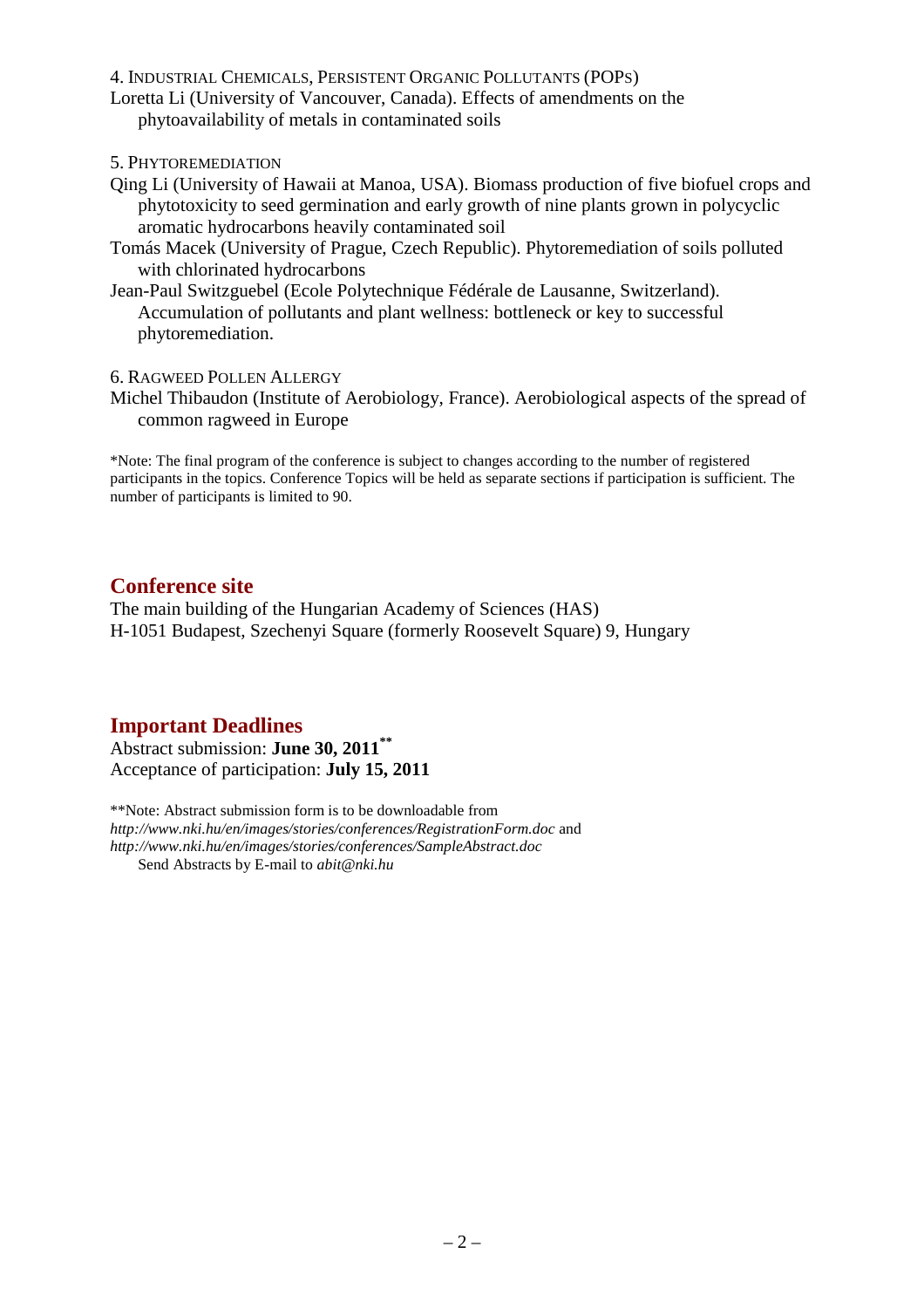#### 4. INDUSTRIAL CHEMICALS, PERSISTENT ORGANIC POLLUTANTS (POPS)

Loretta Li (University of Vancouver, Canada). Effects of amendments on the phytoavailability of metals in contaminated soils

5. PHYTOREMEDIATION

- Qing Li (University of Hawaii at Manoa, USA). Biomass production of five biofuel crops and phytotoxicity to seed germination and early growth of nine plants grown in polycyclic aromatic hydrocarbons heavily contaminated soil
- Tomás Macek (University of Prague, Czech Republic). Phytoremediation of soils polluted with chlorinated hydrocarbons
- Jean-Paul Switzguebel (Ecole Polytechnique Fédérale de Lausanne, Switzerland). Accumulation of pollutants and plant wellness: bottleneck or key to successful phytoremediation.

#### 6. RAGWEED POLLEN ALLERGY

Michel Thibaudon (Institute of Aerobiology, France). Aerobiological aspects of the spread of common ragweed in Europe

\*Note: The final program of the conference is subject to changes according to the number of registered participants in the topics. Conference Topics will be held as separate sections if participation is sufficient. The number of participants is limited to 90.

### **Conference site**

The main building of the Hungarian Academy of Sciences (HAS) H-1051 Budapest, Szechenyi Square (formerly Roosevelt Square) 9, Hungary

## **Important Deadlines**

Abstract submission: **June 30, 2011\*\*** Acceptance of participation: **July 15, 2011**

\*\*Note: Abstract submission form is to be downloadable from *http://www.nki.hu/en/images/stories/conferences/RegistrationForm.doc* and *http://www.nki.hu/en/images/stories/conferences/SampleAbstract.doc* Send Abstracts by E-mail to *abit@nki.hu*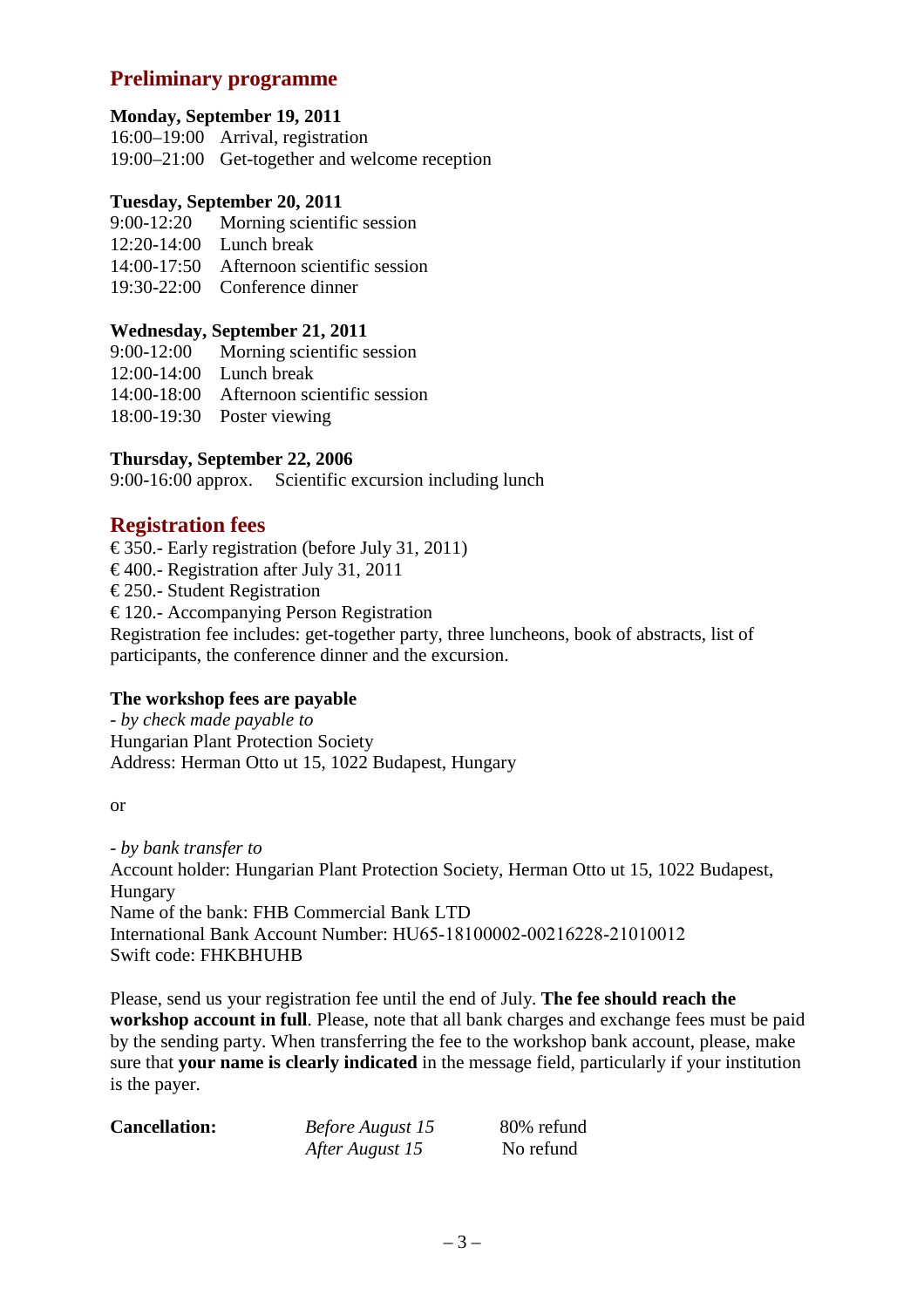## **Preliminary programme**

#### **Monday, September 19, 2011**

16:00–19:00 Arrival, registration 19:00–21:00 Get-together and welcome reception

#### **Tuesday, September 20, 2011**

- 9:00-12:20 Morning scientific session
- 12:20-14:00 Lunch break
- 14:00-17:50 Afternoon scientific session
- 19:30-22:00 Conference dinner

#### **Wednesday, September 21, 2011**

- 9:00-12:00 Morning scientific session
- 12:00-14:00 Lunch break
- 14:00-18:00 Afternoon scientific session
- 18:00-19:30 Poster viewing

#### **Thursday, September 22, 2006**

9:00-16:00 approx. Scientific excursion including lunch

### **Registration fees**

 $\epsilon$  350.- Early registration (before July 31, 2011)

 $\epsilon$  400.- Registration after July 31, 2011

 $\epsilon$  250.- Student Registration

 $\epsilon$  120.- Accompanying Person Registration

Registration fee includes: get-together party, three luncheons, book of abstracts, list of participants, the conference dinner and the excursion.

### **The workshop fees are payable**

*- by check made payable to*  Hungarian Plant Protection Society Address: Herman Otto ut 15, 1022 Budapest, Hungary

or

*- by bank transfer to*  Account holder: Hungarian Plant Protection Society, Herman Otto ut 15, 1022 Budapest, Hungary Name of the bank: FHB Commercial Bank LTD International Bank Account Number: HU65-18100002-00216228-21010012 Swift code: FHKBHUHB

Please, send us your registration fee until the end of July. **The fee should reach the workshop account in full**. Please, note that all bank charges and exchange fees must be paid by the sending party. When transferring the fee to the workshop bank account, please, make sure that **your name is clearly indicated** in the message field, particularly if your institution is the payer.

| <b>Cancellation:</b> | <b>Before August 15</b> | 80% refund |
|----------------------|-------------------------|------------|
|                      | After August 15         | No refund  |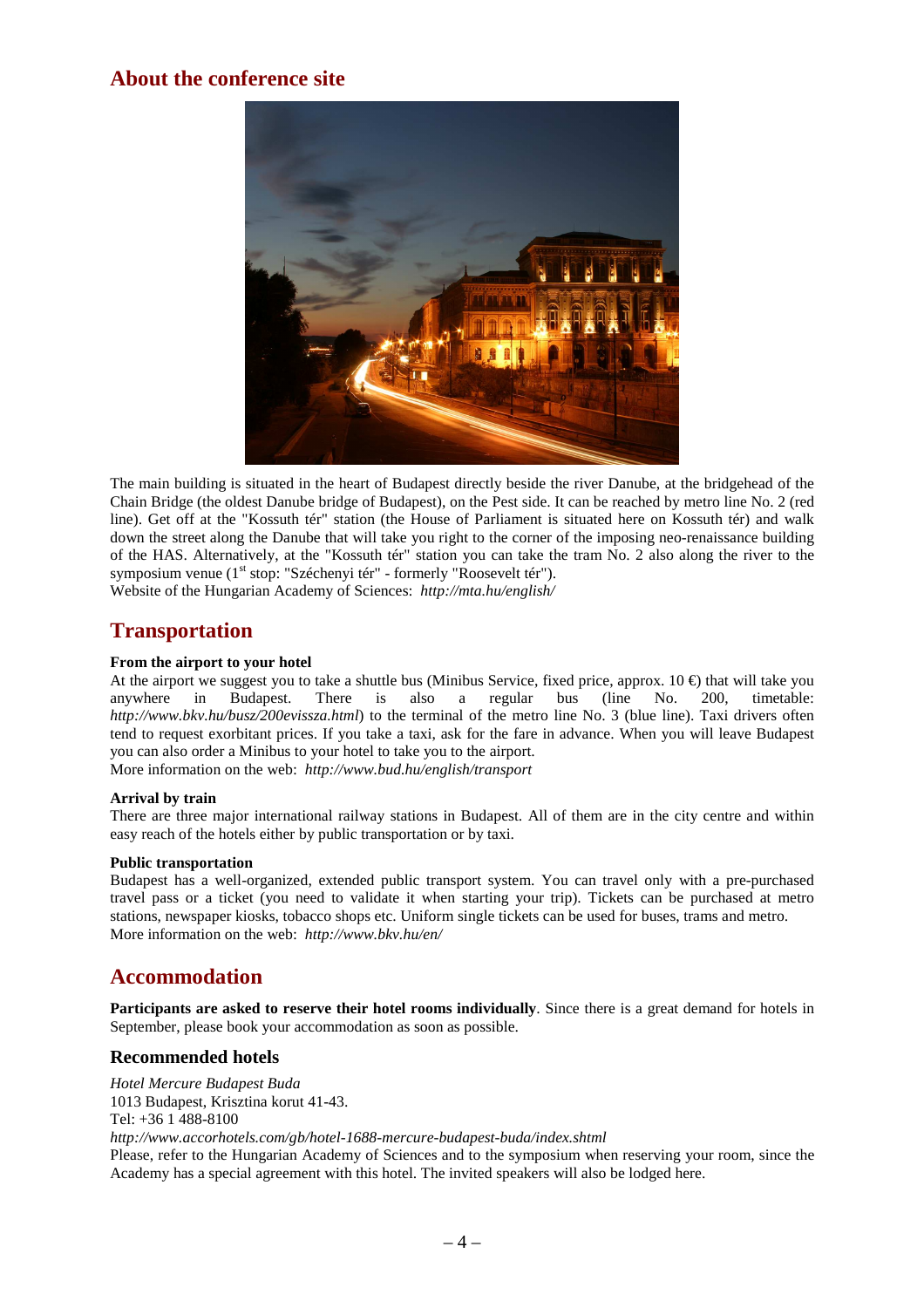## **About the conference site**



The main building is situated in the heart of Budapest directly beside the river Danube, at the bridgehead of the Chain Bridge (the oldest Danube bridge of Budapest), on the Pest side. It can be reached by metro line No. 2 (red line). Get off at the "Kossuth tér" station (the House of Parliament is situated here on Kossuth tér) and walk down the street along the Danube that will take you right to the corner of the imposing neo-renaissance building of the HAS. Alternatively, at the "Kossuth tér" station you can take the tram No. 2 also along the river to the symposium venue (1<sup>st</sup> stop: "Széchenyi tér" - formerly "Roosevelt tér"). Website of the Hungarian Academy of Sciences: *http://mta.hu/english/*

## **Transportation**

#### **From the airport to your hotel**

At the airport we suggest you to take a shuttle bus (Minibus Service, fixed price, approx.  $10 \in \mathbb{R}$ ) that will take you anywhere in Budapest. There is also a regular bus (line No. 200, timetable: *http://www.bkv.hu/busz/200evissza.html*) to the terminal of the metro line No. 3 (blue line). Taxi drivers often tend to request exorbitant prices. If you take a taxi, ask for the fare in advance. When you will leave Budapest you can also order a Minibus to your hotel to take you to the airport.

More information on the web: *http://www.bud.hu/english/transport*

#### **Arrival by train**

There are three major international railway stations in Budapest. All of them are in the city centre and within easy reach of the hotels either by public transportation or by taxi.

#### **Public transportation**

Budapest has a well-organized, extended public transport system. You can travel only with a pre-purchased travel pass or a ticket (you need to validate it when starting your trip). Tickets can be purchased at metro stations, newspaper kiosks, tobacco shops etc. Uniform single tickets can be used for buses, trams and metro. More information on the web: *http://www.bkv.hu/en/*

## **Accommodation**

**Participants are asked to reserve their hotel rooms individually**. Since there is a great demand for hotels in September, please book your accommodation as soon as possible.

#### **Recommended hotels**

*Hotel Mercure Budapest Buda*  1013 Budapest, Krisztina korut 41-43. Tel: +36 1 488-8100 *http://www.accorhotels.com/gb/hotel-1688-mercure-budapest-buda/index.shtml*  Please, refer to the Hungarian Academy of Sciences and to the symposium when reserving your room, since the Academy has a special agreement with this hotel. The invited speakers will also be lodged here.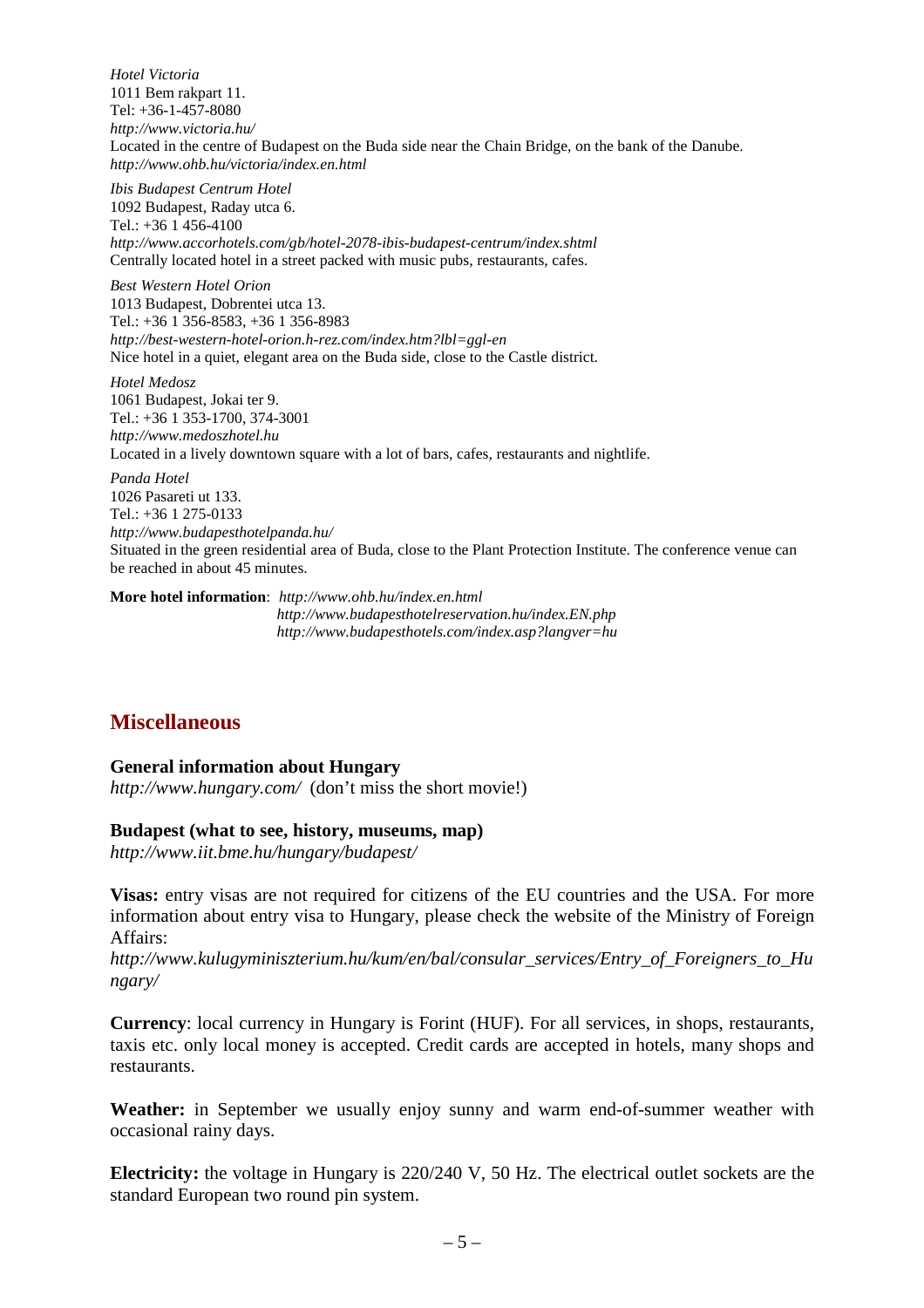*Hotel Victoria*  1011 Bem rakpart 11. Tel: +36-1-457-8080 *http://www.victoria.hu/* Located in the centre of Budapest on the Buda side near the Chain Bridge, on the bank of the Danube. *http://www.ohb.hu/victoria/index.en.html* 

*Ibis Budapest Centrum Hotel*  1092 Budapest, Raday utca 6. Tel.: +36 1 456-4100 *http://www.accorhotels.com/gb/hotel-2078-ibis-budapest-centrum/index.shtml*  Centrally located hotel in a street packed with music pubs, restaurants, cafes.

*Best Western Hotel Orion*  1013 Budapest, Dobrentei utca 13. Tel.: +36 1 356-8583, +36 1 356-8983 *http://best-western-hotel-orion.h-rez.com/index.htm?lbl=ggl-en*  Nice hotel in a quiet, elegant area on the Buda side, close to the Castle district.

*Hotel Medosz*  1061 Budapest, Jokai ter 9. Tel.: +36 1 353-1700, 374-3001 *http://www.medoszhotel.hu*  Located in a lively downtown square with a lot of bars, cafes, restaurants and nightlife.

*Panda Hotel*  1026 Pasareti ut 133. Tel.: +36 1 275-0133 *http://www.budapesthotelpanda.hu/*  Situated in the green residential area of Buda, close to the Plant Protection Institute. The conference venue can be reached in about 45 minutes.

**More hotel information**: *http://www.ohb.hu/index.en.html http://www.budapesthotelreservation.hu/index.EN.php http://www.budapesthotels.com/index.asp?langver=hu* 

## **Miscellaneous**

### **General information about Hungary**

*http://www.hungary.com/* (don't miss the short movie!)

#### **Budapest (what to see, history, museums, map)**

*http://www.iit.bme.hu/hungary/budapest/* 

**Visas:** entry visas are not required for citizens of the EU countries and the USA. For more information about entry visa to Hungary, please check the website of the Ministry of Foreign Affairs:

*http://www.kulugyminiszterium.hu/kum/en/bal/consular\_services/Entry\_of\_Foreigners\_to\_Hu ngary/* 

**Currency**: local currency in Hungary is Forint (HUF). For all services, in shops, restaurants, taxis etc. only local money is accepted. Credit cards are accepted in hotels, many shops and restaurants.

**Weather:** in September we usually enjoy sunny and warm end-of-summer weather with occasional rainy days.

**Electricity:** the voltage in Hungary is 220/240 V, 50 Hz. The electrical outlet sockets are the standard European two round pin system.